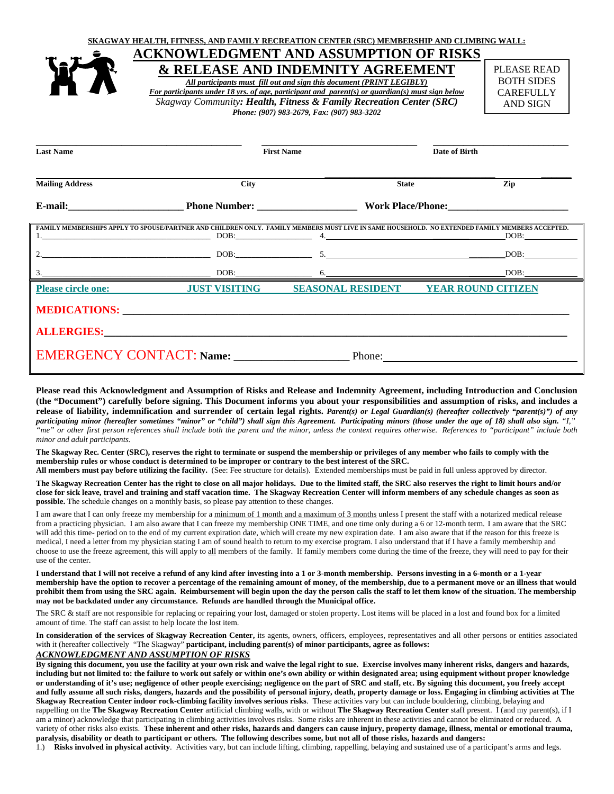

# **ACKNOWLEDGMENT AND ASSUMPTION OF RISKS & RELEASE AND INDEMNITY AGREEMENT**

*All participants must fill out and sign this document (PRINT LEGIBLY) For participants under 18 yrs. of age, participant and parent(s) or guardian(s) must sign below Skagway Community: Health, Fitness & Family Recreation Center (SRC) Phone: (907) 983-2679, Fax: (907) 983-3202* 

PLEASE READ BOTH SIDES **CAREFULLY** AND SIGN

| <b>Last Name</b>                                                                                                                                            |             | <b>First Name</b>        | Date of Birth |                           |
|-------------------------------------------------------------------------------------------------------------------------------------------------------------|-------------|--------------------------|---------------|---------------------------|
| <b>Mailing Address</b>                                                                                                                                      | <b>City</b> |                          | <b>State</b>  | Zip                       |
| E-mail: Phone Number:                                                                                                                                       |             |                          |               | Work Place/Phone:         |
| FAMILY MEMBERSHIPS APPLY TO SPOUSE/PARTNER AND CHILDREN ONLY. FAMILY MEMBERS MUST LIVE IN SAME HOUSEHOLD. NO EXTENDED FAMILY MEMBERS ACCEPTED.<br>$1.$ $1.$ |             |                          |               | DOB:                      |
| $DOB:$ 5.                                                                                                                                                   |             |                          |               | DOB:                      |
|                                                                                                                                                             | DOB:        |                          |               | DOB:                      |
| Please circle one: JUST VISITING                                                                                                                            |             | <b>SEASONAL RESIDENT</b> |               | <b>YEAR ROUND CITIZEN</b> |
|                                                                                                                                                             |             |                          |               |                           |
|                                                                                                                                                             |             |                          |               |                           |
| <b>EMERGENCY CONTACT: Name:</b>                                                                                                                             |             | Phone:                   |               |                           |

**Please read this Acknowledgment and Assumption of Risks and Release and Indemnity Agreement, including Introduction and Conclusion (the "Document") carefully before signing. This Document informs you about your responsibilities and assumption of risks, and includes a release of liability, indemnification and surrender of certain legal rights.** *Parent(s) or Legal Guardian(s) (hereafter collectively "parent(s)") of any participating minor (hereafter sometimes "minor" or "child") shall sign this Agreement. Participating minors (those under the age of 18) shall also sign. "I," "me" or other first person references shall include both the parent and the minor, unless the context requires otherwise. References to "participant" include both minor and adult participants.* 

**The Skagway Rec. Center (SRC), reserves the right to terminate or suspend the membership or privileges of any member who fails to comply with the membership rules or whose conduct is determined to be improper or contrary to the best interest of the SRC.** 

**All members must pay before utilizing the facility.** (See: Fee structure for details). Extended memberships must be paid in full unless approved by director.

**The Skagway Recreation Center has the right to close on all major holidays. Due to the limited staff, the SRC also reserves the right to limit hours and/or close for sick leave, travel and training and staff vacation time. The Skagway Recreation Center will inform members of any schedule changes as soon as possible.** The schedule changes on a monthly basis, so please pay attention to these changes.

I am aware that I can only freeze my membership for a minimum of 1 month and a maximum of 3 months unless I present the staff with a notarized medical release from a practicing physician. I am also aware that I can freeze my membership ONE TIME, and one time only during a 6 or 12-month term. I am aware that the SRC will add this time- period on to the end of my current expiration date, which will create my new expiration date. I am also aware that if the reason for this freeze is medical, I need a letter from my physician stating I am of sound health to return to my exercise program. I also understand that if I have a family membership and choose to use the freeze agreement, this will apply to all members of the family. If family members come during the time of the freeze, they will need to pay for their use of the center.

**I understand that I will not receive a refund of any kind after investing into a 1 or 3-month membership. Persons investing in a 6-month or a 1-year membership have the option to recover a percentage of the remaining amount of money, of the membership, due to a permanent move or an illness that would prohibit them from using the SRC again. Reimbursement will begin upon the day the person calls the staff to let them know of the situation. The membership may not be backdated under any circumstance. Refunds are handled through the Municipal office.**

The SRC & staff are not responsible for replacing or repairing your lost, damaged or stolen property. Lost items will be placed in a lost and found box for a limited amount of time. The staff can assist to help locate the lost item.

**In consideration of the services of Skagway Recreation Center,** its agents, owners, officers, employees, representatives and all other persons or entities associated with it (hereafter collectively "The Skagway" **participant, including parent(s) of minor participants, agree as follows:**

## *ACKNOWLEDGMENT AND ASSUMPTION OF RISKS*

**By signing this document, you use the facility at your own risk and waive the legal right to sue. Exercise involves many inherent risks, dangers and hazards, including but not limited to: the failure to work out safely or within one's own ability or within designated area; using equipment without proper knowledge or understanding of it's use; negligence of other people exercising; negligence on the part of SRC and staff, etc. By signing this document, you freely accept and fully assume all such risks, dangers, hazards and the possibility of personal injury, death, property damage or loss. Engaging in climbing activities at The Skagway Recreation Center indoor rock-climbing facility involves serious risks**.These activities vary but can include bouldering, climbing, belaying and rappelling on the **The Skagway Recreation Center** artificial climbing walls, with or without **The Skagway Recreation Center** staff present. I (and my parent(s), if I am a minor) acknowledge that participating in climbing activities involves risks. Some risks are inherent in these activities and cannot be eliminated or reduced. A variety of other risks also exists. **These inherent and other risks, hazards and dangers can cause injury, property damage, illness, mental or emotional trauma, paralysis, disability or death to participant or others. The following describes some, but not all of those risks, hazards and dangers:**

1.) **Risks involved in physical activity**. Activities vary, but can include lifting, climbing, rappelling, belaying and sustained use of a participant's arms and legs.